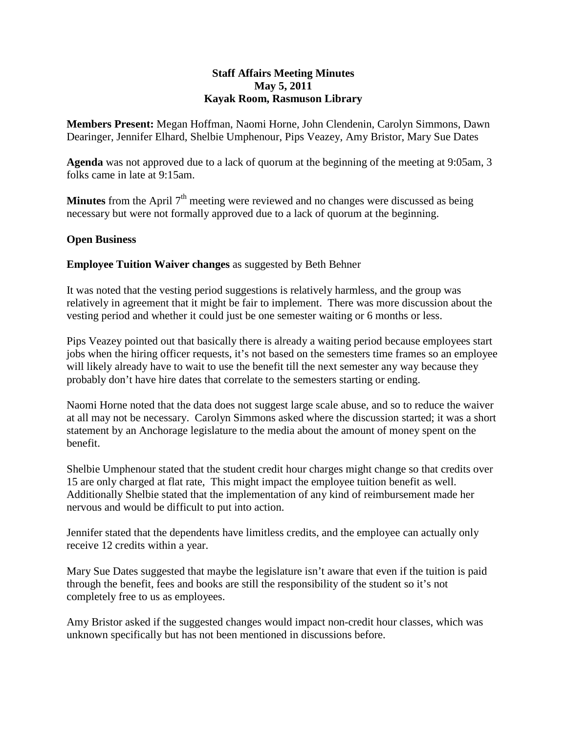### **Staff Affairs Meeting Minutes May 5, 2011 Kayak Room, Rasmuson Library**

**Members Present:** Megan Hoffman, Naomi Horne, John Clendenin, Carolyn Simmons, Dawn Dearinger, Jennifer Elhard, Shelbie Umphenour, Pips Veazey, Amy Bristor, Mary Sue Dates

**Agenda** was not approved due to a lack of quorum at the beginning of the meeting at 9:05am, 3 folks came in late at 9:15am.

**Minutes** from the April 7<sup>th</sup> meeting were reviewed and no changes were discussed as being necessary but were not formally approved due to a lack of quorum at the beginning.

# **Open Business**

**Employee Tuition Waiver changes** as suggested by Beth Behner

It was noted that the vesting period suggestions is relatively harmless, and the group was relatively in agreement that it might be fair to implement. There was more discussion about the vesting period and whether it could just be one semester waiting or 6 months or less.

Pips Veazey pointed out that basically there is already a waiting period because employees start jobs when the hiring officer requests, it's not based on the semesters time frames so an employee will likely already have to wait to use the benefit till the next semester any way because they probably don't have hire dates that correlate to the semesters starting or ending.

Naomi Horne noted that the data does not suggest large scale abuse, and so to reduce the waiver at all may not be necessary. Carolyn Simmons asked where the discussion started; it was a short statement by an Anchorage legislature to the media about the amount of money spent on the benefit.

Shelbie Umphenour stated that the student credit hour charges might change so that credits over 15 are only charged at flat rate, This might impact the employee tuition benefit as well. Additionally Shelbie stated that the implementation of any kind of reimbursement made her nervous and would be difficult to put into action.

Jennifer stated that the dependents have limitless credits, and the employee can actually only receive 12 credits within a year.

Mary Sue Dates suggested that maybe the legislature isn't aware that even if the tuition is paid through the benefit, fees and books are still the responsibility of the student so it's not completely free to us as employees.

Amy Bristor asked if the suggested changes would impact non-credit hour classes, which was unknown specifically but has not been mentioned in discussions before.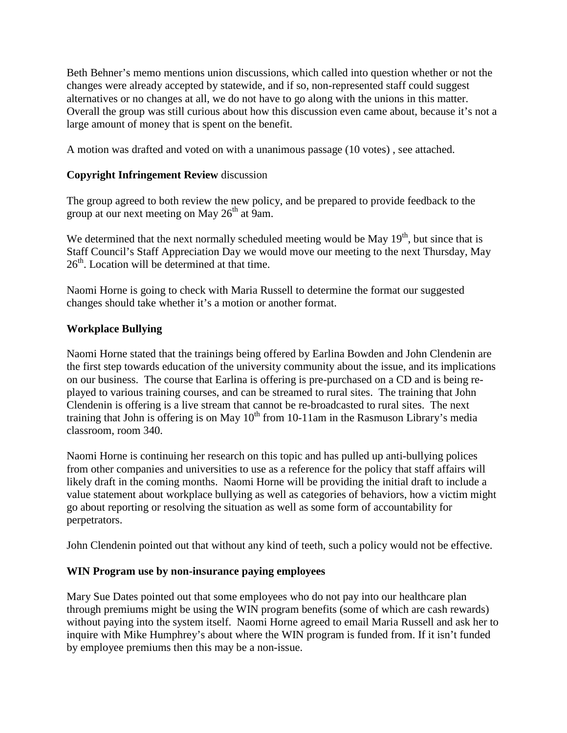Beth Behner's memo mentions union discussions, which called into question whether or not the changes were already accepted by statewide, and if so, non-represented staff could suggest alternatives or no changes at all, we do not have to go along with the unions in this matter. Overall the group was still curious about how this discussion even came about, because it's not a large amount of money that is spent on the benefit.

A motion was drafted and voted on with a unanimous passage (10 votes) , see attached.

## **Copyright Infringement Review** discussion

The group agreed to both review the new policy, and be prepared to provide feedback to the group at our next meeting on May  $26<sup>th</sup>$  at 9am.

We determined that the next normally scheduled meeting would be May  $19<sup>th</sup>$ , but since that is Staff Council's Staff Appreciation Day we would move our meeting to the next Thursday, May  $26<sup>th</sup>$ . Location will be determined at that time.

Naomi Horne is going to check with Maria Russell to determine the format our suggested changes should take whether it's a motion or another format.

### **Workplace Bullying**

Naomi Horne stated that the trainings being offered by Earlina Bowden and John Clendenin are the first step towards education of the university community about the issue, and its implications on our business. The course that Earlina is offering is pre-purchased on a CD and is being replayed to various training courses, and can be streamed to rural sites. The training that John Clendenin is offering is a live stream that cannot be re-broadcasted to rural sites. The next training that John is offering is on May  $10<sup>th</sup>$  from 10-11am in the Rasmuson Library's media classroom, room 340.

Naomi Horne is continuing her research on this topic and has pulled up anti-bullying polices from other companies and universities to use as a reference for the policy that staff affairs will likely draft in the coming months. Naomi Horne will be providing the initial draft to include a value statement about workplace bullying as well as categories of behaviors, how a victim might go about reporting or resolving the situation as well as some form of accountability for perpetrators.

John Clendenin pointed out that without any kind of teeth, such a policy would not be effective.

#### **WIN Program use by non-insurance paying employees**

Mary Sue Dates pointed out that some employees who do not pay into our healthcare plan through premiums might be using the WIN program benefits (some of which are cash rewards) without paying into the system itself. Naomi Horne agreed to email Maria Russell and ask her to inquire with Mike Humphrey's about where the WIN program is funded from. If it isn't funded by employee premiums then this may be a non-issue.